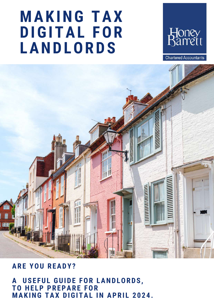## **MAKING TAX DIGITAL FOR LANDLORDS**



**Chartered Accountants** 



## **ARE YOU READY?**

**A USE FUL GUIDE FOR LANDLORDS, TO HE LP PREPARE FOR MAKING TAX DIGITAL IN APRI L 2 0 2 4 .**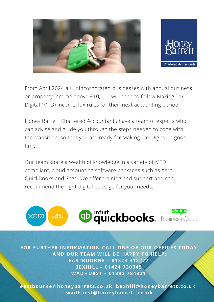



From April 2024 all unincorporated businesses with annual business or property income above £10,000 will need to follow Making Tax Digital (MTD) Income Tax rules for their next accounting period.

Honey Barrett Chartered Accountants have a team of experts who can advise and guide you through the steps needed to cope with the transition, so that you are ready for Making Tax Digital in good time.

Our team share a wealth of knowledge in a variety of MTD compliant, cloud accounting software packages such as Xero, QuickBooks and Sage. We offer training and support and can recommend the right digital package for your needs.



**FOR FURTHER INFORMATION CALL ONE OF OUR OFFICES TODAY AND OUR TEAM WILL BE HAPPY TO HELP: EASTBOURNE – 01323 412277 BEXHILL – 01424 730345 WADHURST – 01892 784321**

**eastbourne@honeybar ret t .co.uk bexhill@honeybar ret t .co.uk wadhurst@honeybar ret t .co.uk**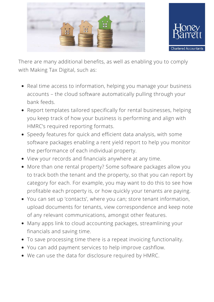



There are many additional benefits, as well as enabling you to comply with Making Tax Digital, such as:

- Real time access to information, helping you manage your business accounts – the cloud software automatically pulling through your bank feeds.
- Report templates tailored specifically for rental businesses, helping you keep track of how your business is performing and align with HMRC's required reporting formats.
- Speedy features for quick and efficient data analysis, with some software packages enabling a rent yield report to help you monitor the performance of each individual property.
- View your records and financials anywhere at any time.
- More than one rental property? Some software packages allow you to track both the tenant and the property, so that you can report by category for each. For example, you may want to do this to see how profitable each property is, or how quickly your tenants are paying.
- You can set up 'contacts', where you can; store tenant information, upload documents for tenants, view correspondence and keep note of any relevant communications, amongst other features.
- Many apps link to cloud accounting packages, streamlining your financials and saving time.
- To save processing time there is a repeat invoicing functionality.
- You can add payment services to help improve cashflow.
- We can use the data for disclosure required by HMRC.